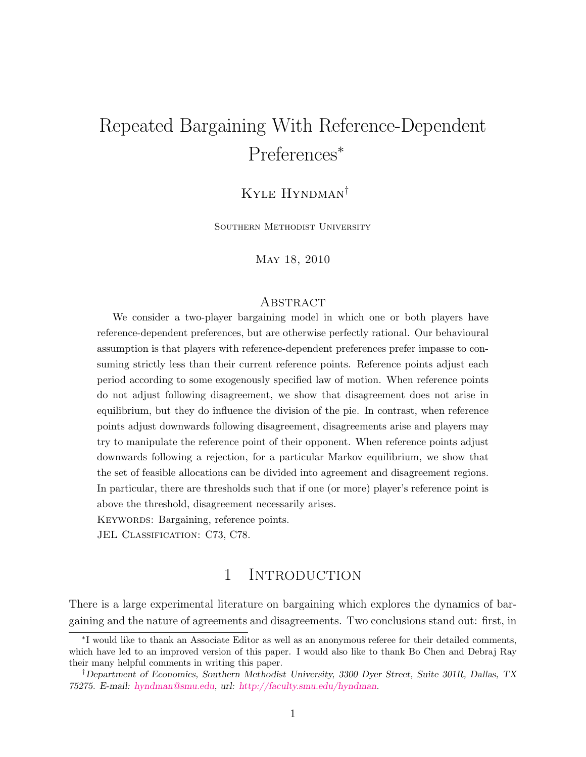# Repeated Bargaining With Reference-Dependent Preferences<sup>∗</sup>

Kyle Hyndman†

SOUTHERN METHODIST UNIVERSITY

May 18, 2010

#### **ABSTRACT**

We consider a two-player bargaining model in which one or both players have reference-dependent preferences, but are otherwise perfectly rational. Our behavioural assumption is that players with reference-dependent preferences prefer impasse to consuming strictly less than their current reference points. Reference points adjust each period according to some exogenously specified law of motion. When reference points do not adjust following disagreement, we show that disagreement does not arise in equilibrium, but they do influence the division of the pie. In contrast, when reference points adjust downwards following disagreement, disagreements arise and players may try to manipulate the reference point of their opponent. When reference points adjust downwards following a rejection, for a particular Markov equilibrium, we show that the set of feasible allocations can be divided into agreement and disagreement regions. In particular, there are thresholds such that if one (or more) player's reference point is above the threshold, disagreement necessarily arises.

KEYWORDS: Bargaining, reference points.

JEL CLASSIFICATION: C73, C78.

## 1 INTRODUCTION

There is a large experimental literature on bargaining which explores the dynamics of bargaining and the nature of agreements and disagreements. Two conclusions stand out: first, in

<sup>∗</sup> I would like to thank an Associate Editor as well as an anonymous referee for their detailed comments, which have led to an improved version of this paper. I would also like to thank Bo Chen and Debraj Ray their many helpful comments in writing this paper.

<sup>†</sup>Department of Economics, Southern Methodist University, 3300 Dyer Street, Suite 301R, Dallas, TX 75275. E-mail: [hyndman@smu.edu,](mailto:hyndman@smu.edu) url: [http://faculty.smu.edu/hyndman.](http://faculty.smu.edu/hyndman)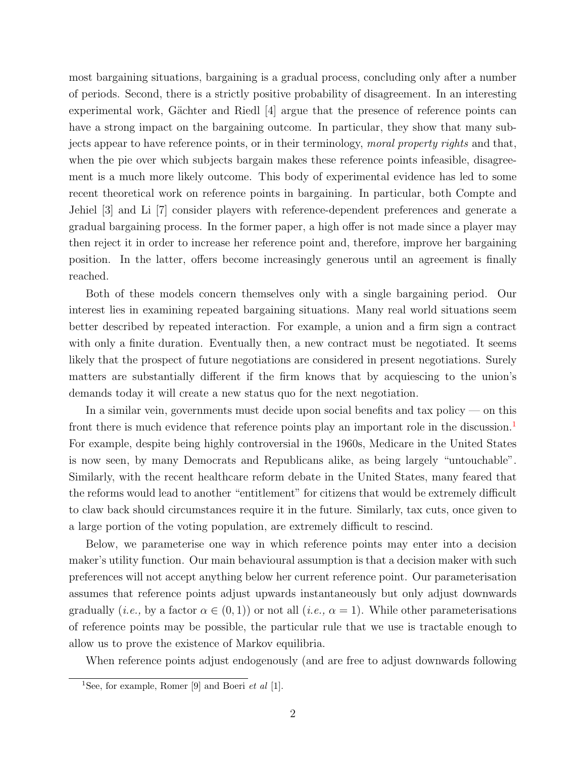most bargaining situations, bargaining is a gradual process, concluding only after a number of periods. Second, there is a strictly positive probability of disagreement. In an interesting experimental work, Gächter and Riedl  $[4]$  argue that the presence of reference points can have a strong impact on the bargaining outcome. In particular, they show that many subjects appear to have reference points, or in their terminology, moral property rights and that, when the pie over which subjects bargain makes these reference points infeasible, disagreement is a much more likely outcome. This body of experimental evidence has led to some recent theoretical work on reference points in bargaining. In particular, both Compte and Jehiel [\[3\]](#page-19-1) and Li [\[7\]](#page-19-2) consider players with reference-dependent preferences and generate a gradual bargaining process. In the former paper, a high offer is not made since a player may then reject it in order to increase her reference point and, therefore, improve her bargaining position. In the latter, offers become increasingly generous until an agreement is finally reached.

Both of these models concern themselves only with a single bargaining period. Our interest lies in examining repeated bargaining situations. Many real world situations seem better described by repeated interaction. For example, a union and a firm sign a contract with only a finite duration. Eventually then, a new contract must be negotiated. It seems likely that the prospect of future negotiations are considered in present negotiations. Surely matters are substantially different if the firm knows that by acquiescing to the union's demands today it will create a new status quo for the next negotiation.

In a similar vein, governments must decide upon social benefits and tax policy — on this front there is much evidence that reference points play an important role in the discussion.<sup>[1](#page-1-0)</sup> For example, despite being highly controversial in the 1960s, Medicare in the United States is now seen, by many Democrats and Republicans alike, as being largely "untouchable". Similarly, with the recent healthcare reform debate in the United States, many feared that the reforms would lead to another "entitlement" for citizens that would be extremely difficult to claw back should circumstances require it in the future. Similarly, tax cuts, once given to a large portion of the voting population, are extremely difficult to rescind.

Below, we parameterise one way in which reference points may enter into a decision maker's utility function. Our main behavioural assumption is that a decision maker with such preferences will not accept anything below her current reference point. Our parameterisation assumes that reference points adjust upwards instantaneously but only adjust downwards gradually (*i.e.*, by a factor  $\alpha \in (0,1)$ ) or not all (*i.e.*,  $\alpha = 1$ ). While other parameterisations of reference points may be possible, the particular rule that we use is tractable enough to allow us to prove the existence of Markov equilibria.

When reference points adjust endogenously (and are free to adjust downwards following

<span id="page-1-0"></span><sup>&</sup>lt;sup>1</sup>See, for example, Romer [\[9\]](#page-19-3) and Boeri *et al* [\[1\]](#page-19-4).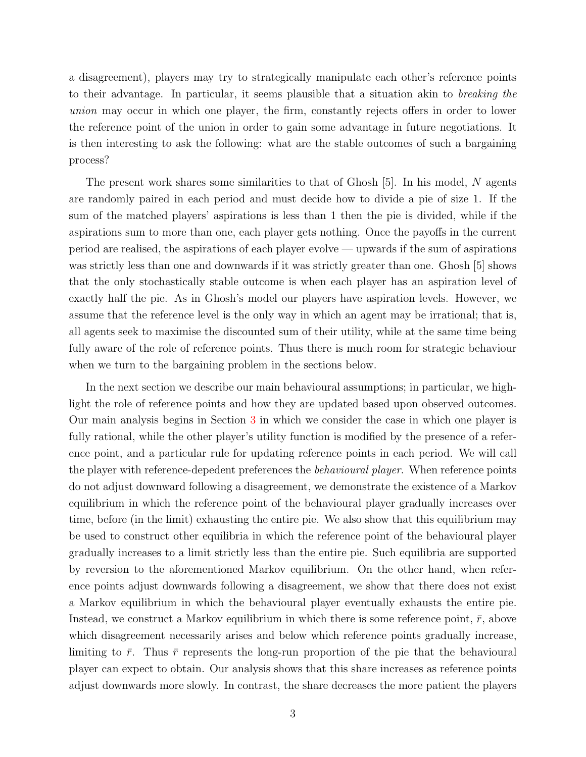a disagreement), players may try to strategically manipulate each other's reference points to their advantage. In particular, it seems plausible that a situation akin to breaking the union may occur in which one player, the firm, constantly rejects offers in order to lower the reference point of the union in order to gain some advantage in future negotiations. It is then interesting to ask the following: what are the stable outcomes of such a bargaining process?

The present work shares some similarities to that of Ghosh [\[5\]](#page-19-5). In his model, N agents are randomly paired in each period and must decide how to divide a pie of size 1. If the sum of the matched players' aspirations is less than 1 then the pie is divided, while if the aspirations sum to more than one, each player gets nothing. Once the payoffs in the current period are realised, the aspirations of each player evolve — upwards if the sum of aspirations was strictly less than one and downwards if it was strictly greater than one. Ghosh [\[5\]](#page-19-5) shows that the only stochastically stable outcome is when each player has an aspiration level of exactly half the pie. As in Ghosh's model our players have aspiration levels. However, we assume that the reference level is the only way in which an agent may be irrational; that is, all agents seek to maximise the discounted sum of their utility, while at the same time being fully aware of the role of reference points. Thus there is much room for strategic behaviour when we turn to the bargaining problem in the sections below.

In the next section we describe our main behavioural assumptions; in particular, we highlight the role of reference points and how they are updated based upon observed outcomes. Our main analysis begins in Section [3](#page-5-0) in which we consider the case in which one player is fully rational, while the other player's utility function is modified by the presence of a reference point, and a particular rule for updating reference points in each period. We will call the player with reference-depedent preferences the *behavioural player*. When reference points do not adjust downward following a disagreement, we demonstrate the existence of a Markov equilibrium in which the reference point of the behavioural player gradually increases over time, before (in the limit) exhausting the entire pie. We also show that this equilibrium may be used to construct other equilibria in which the reference point of the behavioural player gradually increases to a limit strictly less than the entire pie. Such equilibria are supported by reversion to the aforementioned Markov equilibrium. On the other hand, when reference points adjust downwards following a disagreement, we show that there does not exist a Markov equilibrium in which the behavioural player eventually exhausts the entire pie. Instead, we construct a Markov equilibrium in which there is some reference point,  $\bar{r}$ , above which disagreement necessarily arises and below which reference points gradually increase, limiting to  $\bar{r}$ . Thus  $\bar{r}$  represents the long-run proportion of the pie that the behavioural player can expect to obtain. Our analysis shows that this share increases as reference points adjust downwards more slowly. In contrast, the share decreases the more patient the players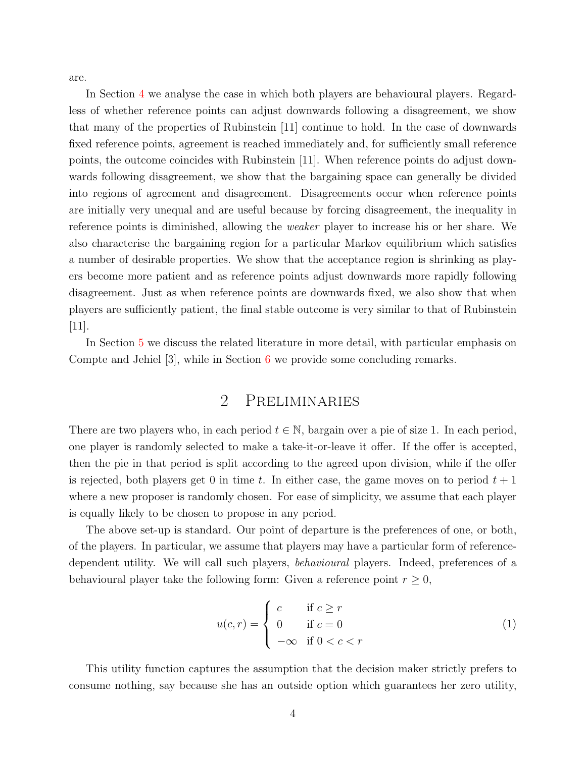are.

In Section [4](#page-9-0) we analyse the case in which both players are behavioural players. Regardless of whether reference points can adjust downwards following a disagreement, we show that many of the properties of Rubinstein [\[11\]](#page-20-0) continue to hold. In the case of downwards fixed reference points, agreement is reached immediately and, for sufficiently small reference points, the outcome coincides with Rubinstein [\[11\]](#page-20-0). When reference points do adjust downwards following disagreement, we show that the bargaining space can generally be divided into regions of agreement and disagreement. Disagreements occur when reference points are initially very unequal and are useful because by forcing disagreement, the inequality in reference points is diminished, allowing the weaker player to increase his or her share. We also characterise the bargaining region for a particular Markov equilibrium which satisfies a number of desirable properties. We show that the acceptance region is shrinking as players become more patient and as reference points adjust downwards more rapidly following disagreement. Just as when reference points are downwards fixed, we also show that when players are sufficiently patient, the final stable outcome is very similar to that of Rubinstein [\[11\]](#page-20-0).

In Section [5](#page-16-0) we discuss the related literature in more detail, with particular emphasis on Compte and Jehiel [\[3\]](#page-19-1), while in Section [6](#page-17-0) we provide some concluding remarks.

## 2 Preliminaries

There are two players who, in each period  $t \in \mathbb{N}$ , bargain over a pie of size 1. In each period, one player is randomly selected to make a take-it-or-leave it offer. If the offer is accepted, then the pie in that period is split according to the agreed upon division, while if the offer is rejected, both players get 0 in time t. In either case, the game moves on to period  $t + 1$ where a new proposer is randomly chosen. For ease of simplicity, we assume that each player is equally likely to be chosen to propose in any period.

The above set-up is standard. Our point of departure is the preferences of one, or both, of the players. In particular, we assume that players may have a particular form of referencedependent utility. We will call such players, behavioural players. Indeed, preferences of a behavioural player take the following form: Given a reference point  $r \geq 0$ ,

<span id="page-3-0"></span>
$$
u(c,r) = \begin{cases} c & \text{if } c \ge r \\ 0 & \text{if } c = 0 \\ -\infty & \text{if } 0 < c < r \end{cases}
$$
 (1)

This utility function captures the assumption that the decision maker strictly prefers to consume nothing, say because she has an outside option which guarantees her zero utility,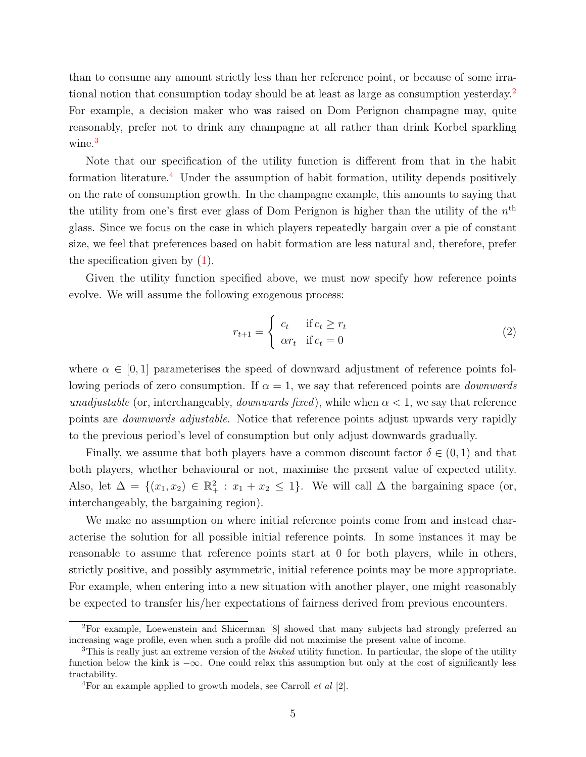than to consume any amount strictly less than her reference point, or because of some irrational notion that consumption today should be at least as large as consumption yesterday.[2](#page-4-0) For example, a decision maker who was raised on Dom Perignon champagne may, quite reasonably, prefer not to drink any champagne at all rather than drink Korbel sparkling wine.<sup>[3](#page-4-1)</sup>

Note that our specification of the utility function is different from that in the habit formation literature.<sup>[4](#page-4-2)</sup> Under the assumption of habit formation, utility depends positively on the rate of consumption growth. In the champagne example, this amounts to saying that the utility from one's first ever glass of Dom Perignon is higher than the utility of the  $n<sup>th</sup>$ glass. Since we focus on the case in which players repeatedly bargain over a pie of constant size, we feel that preferences based on habit formation are less natural and, therefore, prefer the specification given by  $(1)$ .

Given the utility function specified above, we must now specify how reference points evolve. We will assume the following exogenous process:

<span id="page-4-3"></span>
$$
r_{t+1} = \begin{cases} c_t & \text{if } c_t \ge r_t \\ \alpha r_t & \text{if } c_t = 0 \end{cases}
$$
 (2)

where  $\alpha \in [0,1]$  parameterises the speed of downward adjustment of reference points following periods of zero consumption. If  $\alpha = 1$ , we say that referenced points are *downwards* unadjustable (or, interchangeably, downwards fixed), while when  $\alpha < 1$ , we say that reference points are downwards adjustable. Notice that reference points adjust upwards very rapidly to the previous period's level of consumption but only adjust downwards gradually.

Finally, we assume that both players have a common discount factor  $\delta \in (0,1)$  and that both players, whether behavioural or not, maximise the present value of expected utility. Also, let  $\Delta = \{(x_1, x_2) \in \mathbb{R}_+^2 : x_1 + x_2 \leq 1\}$ . We will call  $\Delta$  the bargaining space (or, interchangeably, the bargaining region).

We make no assumption on where initial reference points come from and instead characterise the solution for all possible initial reference points. In some instances it may be reasonable to assume that reference points start at 0 for both players, while in others, strictly positive, and possibly asymmetric, initial reference points may be more appropriate. For example, when entering into a new situation with another player, one might reasonably be expected to transfer his/her expectations of fairness derived from previous encounters.

<span id="page-4-0"></span><sup>2</sup>For example, Loewenstein and Shicerman [\[8\]](#page-19-6) showed that many subjects had strongly preferred an increasing wage profile, even when such a profile did not maximise the present value of income.

<span id="page-4-1"></span><sup>&</sup>lt;sup>3</sup>This is really just an extreme version of the *kinked* utility function. In particular, the slope of the utility function below the kink is  $-\infty$ . One could relax this assumption but only at the cost of significantly less tractability.

<span id="page-4-2"></span><sup>&</sup>lt;sup>4</sup>For an example applied to growth models, see Carroll *et al* [\[2\]](#page-19-7).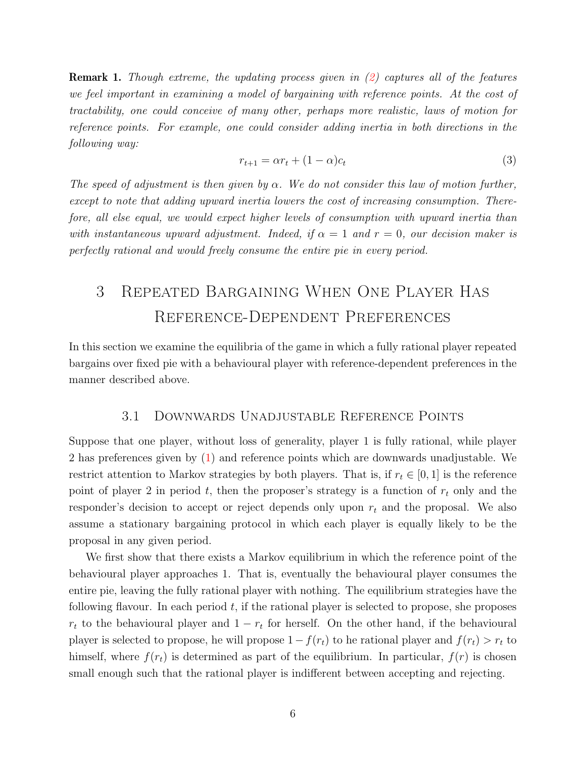**Remark 1.** Though extreme, the updating process given in [\(2\)](#page-4-3) captures all of the features we feel important in examining a model of bargaining with reference points. At the cost of tractability, one could conceive of many other, perhaps more realistic, laws of motion for reference points. For example, one could consider adding inertia in both directions in the following way:

$$
r_{t+1} = \alpha r_t + (1 - \alpha)c_t \tag{3}
$$

The speed of adjustment is then given by  $\alpha$ . We do not consider this law of motion further, except to note that adding upward inertia lowers the cost of increasing consumption. Therefore, all else equal, we would expect higher levels of consumption with upward inertia than with instantaneous upward adjustment. Indeed, if  $\alpha = 1$  and  $r = 0$ , our decision maker is perfectly rational and would freely consume the entire pie in every period.

## <span id="page-5-0"></span>3 Repeated Bargaining When One Player Has Reference-Dependent Preferences

In this section we examine the equilibria of the game in which a fully rational player repeated bargains over fixed pie with a behavioural player with reference-dependent preferences in the manner described above.

#### 3.1 Downwards Unadjustable Reference Points

Suppose that one player, without loss of generality, player 1 is fully rational, while player 2 has preferences given by [\(1\)](#page-3-0) and reference points which are downwards unadjustable. We restrict attention to Markov strategies by both players. That is, if  $r_t \in [0,1]$  is the reference point of player 2 in period t, then the proposer's strategy is a function of  $r_t$  only and the responder's decision to accept or reject depends only upon  $r_t$  and the proposal. We also assume a stationary bargaining protocol in which each player is equally likely to be the proposal in any given period.

We first show that there exists a Markov equilibrium in which the reference point of the behavioural player approaches 1. That is, eventually the behavioural player consumes the entire pie, leaving the fully rational player with nothing. The equilibrium strategies have the following flavour. In each period  $t$ , if the rational player is selected to propose, she proposes  $r_t$  to the behavioural player and  $1 - r_t$  for herself. On the other hand, if the behavioural player is selected to propose, he will propose  $1 - f(r_t)$  to he rational player and  $f(r_t) > r_t$  to himself, where  $f(r_t)$  is determined as part of the equilibrium. In particular,  $f(r)$  is chosen small enough such that the rational player is indifferent between accepting and rejecting.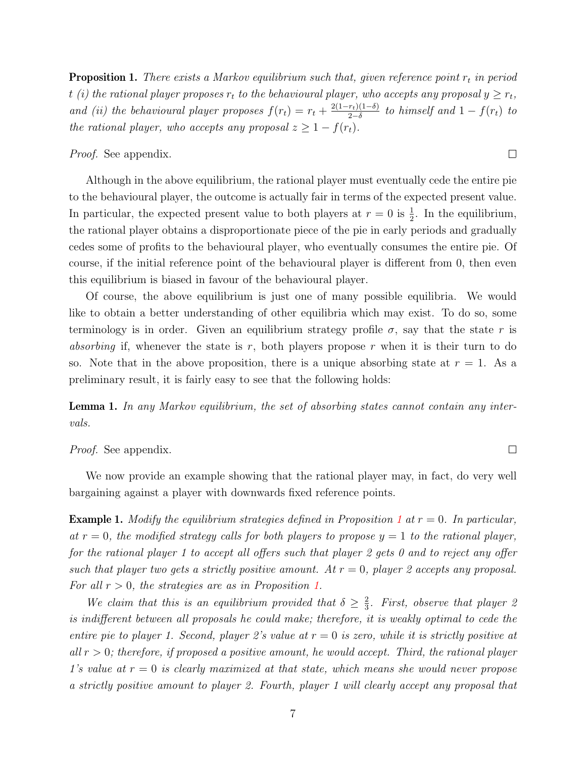<span id="page-6-0"></span>**Proposition 1.** There exists a Markov equilibrium such that, given reference point  $r_t$  in period t (i) the rational player proposes  $r_t$  to the behavioural player, who accepts any proposal  $y \geq r_t$ , and (ii) the behavioural player proposes  $f(r_t) = r_t + \frac{2(1-r_t)(1-\delta)}{2-\delta}$  $\frac{r_{t}(1-\delta)}{2-\delta}$  to himself and  $1-f(r_t)$  to the rational player, who accepts any proposal  $z \geq 1 - f(r_t)$ .

 $\Box$ 

 $\Box$ 

#### Proof. See appendix.

Although in the above equilibrium, the rational player must eventually cede the entire pie to the behavioural player, the outcome is actually fair in terms of the expected present value. In particular, the expected present value to both players at  $r = 0$  is  $\frac{1}{2}$ . In the equilibrium, the rational player obtains a disproportionate piece of the pie in early periods and gradually cedes some of profits to the behavioural player, who eventually consumes the entire pie. Of course, if the initial reference point of the behavioural player is different from 0, then even this equilibrium is biased in favour of the behavioural player.

Of course, the above equilibrium is just one of many possible equilibria. We would like to obtain a better understanding of other equilibria which may exist. To do so, some terminology is in order. Given an equilibrium strategy profile  $\sigma$ , say that the state r is absorbing if, whenever the state is r, both players propose r when it is their turn to do so. Note that in the above proposition, there is a unique absorbing state at  $r = 1$ . As a preliminary result, it is fairly easy to see that the following holds:

<span id="page-6-2"></span>Lemma 1. In any Markov equilibrium, the set of absorbing states cannot contain any intervals.

#### Proof. See appendix.

We now provide an example showing that the rational player may, in fact, do very well bargaining against a player with downwards fixed reference points.

<span id="page-6-1"></span>**Example [1](#page-6-0).** Modify the equilibrium strategies defined in Proposition 1 at  $r = 0$ . In particular, at  $r = 0$ , the modified strategy calls for both players to propose  $y = 1$  to the rational player, for the rational player 1 to accept all offers such that player 2 gets 0 and to reject any offer such that player two gets a strictly positive amount. At  $r = 0$ , player 2 accepts any proposal. For all  $r > 0$ , the strategies are as in Proposition [1.](#page-6-0)

We claim that this is an equilibrium provided that  $\delta \geq \frac{2}{3}$  $\frac{2}{3}$ . First, observe that player 2 is indifferent between all proposals he could make; therefore, it is weakly optimal to cede the entire pie to player 1. Second, player 2's value at  $r = 0$  is zero, while it is strictly positive at all  $r > 0$ ; therefore, if proposed a positive amount, he would accept. Third, the rational player 1's value at  $r = 0$  is clearly maximized at that state, which means she would never propose a strictly positive amount to player 2. Fourth, player 1 will clearly accept any proposal that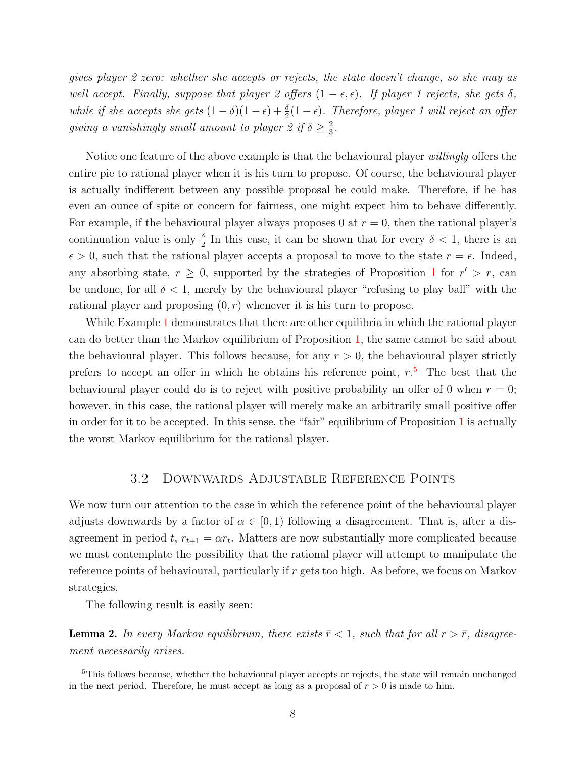gives player 2 zero: whether she accepts or rejects, the state doesn't change, so she may as well accept. Finally, suppose that player 2 offers  $(1 - \epsilon, \epsilon)$ . If player 1 rejects, she gets  $\delta$ , while if she accepts she gets  $(1 - \delta)(1 - \epsilon) + \frac{\delta}{2}(1 - \epsilon)$ . Therefore, player 1 will reject an offer giving a vanishingly small amount to player 2 if  $\delta \geq \frac{2}{3}$  $\frac{2}{3}$ .

Notice one feature of the above example is that the behavioural player *willingly* offers the entire pie to rational player when it is his turn to propose. Of course, the behavioural player is actually indifferent between any possible proposal he could make. Therefore, if he has even an ounce of spite or concern for fairness, one might expect him to behave differently. For example, if the behavioural player always proposes 0 at  $r = 0$ , then the rational player's continuation value is only  $\frac{\delta}{2}$  In this case, it can be shown that for every  $\delta$  < 1, there is an  $\epsilon > 0$ , such that the rational player accepts a proposal to move to the state  $r = \epsilon$ . Indeed, any absorbing state,  $r \geq 0$ , supported by the strategies of Proposition [1](#page-6-0) for  $r' > r$ , can be undone, for all  $\delta$  < 1, merely by the behavioural player "refusing to play ball" with the rational player and proposing  $(0, r)$  whenever it is his turn to propose.

While Example [1](#page-6-1) demonstrates that there are other equilibria in which the rational player can do better than the Markov equilibrium of Proposition [1,](#page-6-0) the same cannot be said about the behavioural player. This follows because, for any  $r > 0$ , the behavioural player strictly prefers to accept an offer in which he obtains his reference point,  $r<sup>5</sup>$  $r<sup>5</sup>$  $r<sup>5</sup>$ . The best that the behavioural player could do is to reject with positive probability an offer of 0 when  $r = 0$ ; however, in this case, the rational player will merely make an arbitrarily small positive offer in order for it to be accepted. In this sense, the "fair" equilibrium of Proposition [1](#page-6-0) is actually the worst Markov equilibrium for the rational player.

#### 3.2 Downwards Adjustable Reference Points

We now turn our attention to the case in which the reference point of the behavioural player adjusts downwards by a factor of  $\alpha \in [0, 1)$  following a disagreement. That is, after a disagreement in period t,  $r_{t+1} = \alpha r_t$ . Matters are now substantially more complicated because we must contemplate the possibility that the rational player will attempt to manipulate the reference points of behavioural, particularly if r gets too high. As before, we focus on Markov strategies.

The following result is easily seen:

<span id="page-7-1"></span>**Lemma 2.** In every Markov equilibrium, there exists  $\bar{r} < 1$ , such that for all  $r > \bar{r}$ , disagreement necessarily arises.

<span id="page-7-0"></span><sup>&</sup>lt;sup>5</sup>This follows because, whether the behavioural player accepts or rejects, the state will remain unchanged in the next period. Therefore, he must accept as long as a proposal of  $r > 0$  is made to him.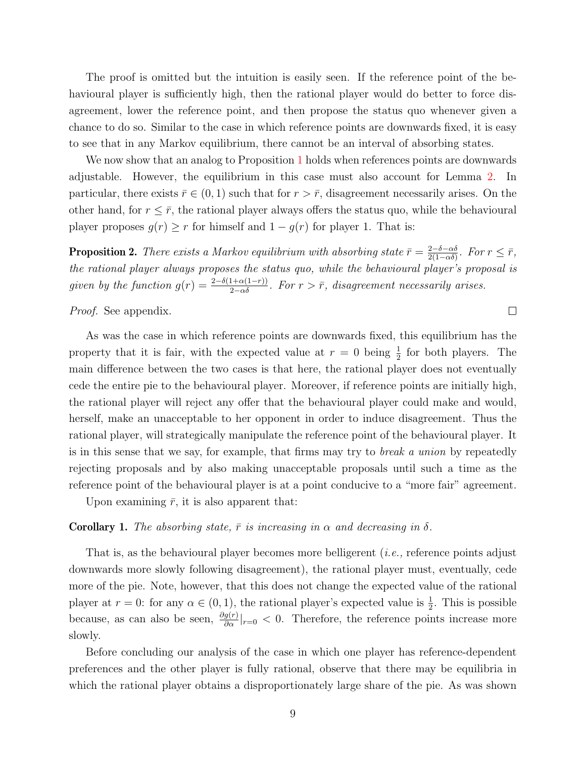The proof is omitted but the intuition is easily seen. If the reference point of the behavioural player is sufficiently high, then the rational player would do better to force disagreement, lower the reference point, and then propose the status quo whenever given a chance to do so. Similar to the case in which reference points are downwards fixed, it is easy to see that in any Markov equilibrium, there cannot be an interval of absorbing states.

We now show that an analog to Proposition [1](#page-6-0) holds when references points are downwards adjustable. However, the equilibrium in this case must also account for Lemma [2.](#page-7-1) In particular, there exists  $\bar{r} \in (0,1)$  such that for  $r > \bar{r}$ , disagreement necessarily arises. On the other hand, for  $r \leq \bar{r}$ , the rational player always offers the status quo, while the behavioural player proposes  $g(r) \geq r$  for himself and  $1 - g(r)$  for player 1. That is:

<span id="page-8-0"></span>**Proposition 2.** There exists a Markov equilibrium with absorbing state  $\bar{r} = \frac{2-\delta-\alpha\delta}{2(1-\alpha\delta)}$  $\frac{2-\delta-\alpha\delta}{2(1-\alpha\delta)}$ . For  $r \leq \bar{r}$ , the rational player always proposes the status quo, while the behavioural player's proposal is given by the function  $g(r) = \frac{2-\delta(1+\alpha(1-r))}{2-\alpha\delta}$ . For  $r > \overline{r}$ , disagreement necessarily arises.

Proof. See appendix.

As was the case in which reference points are downwards fixed, this equilibrium has the property that it is fair, with the expected value at  $r = 0$  being  $\frac{1}{2}$  for both players. The main difference between the two cases is that here, the rational player does not eventually cede the entire pie to the behavioural player. Moreover, if reference points are initially high, the rational player will reject any offer that the behavioural player could make and would, herself, make an unacceptable to her opponent in order to induce disagreement. Thus the rational player, will strategically manipulate the reference point of the behavioural player. It is in this sense that we say, for example, that firms may try to break a union by repeatedly rejecting proposals and by also making unacceptable proposals until such a time as the reference point of the behavioural player is at a point conducive to a "more fair" agreement.

Upon examining  $\bar{r}$ , it is also apparent that:

#### **Corollary 1.** The absorbing state,  $\bar{r}$  is increasing in  $\alpha$  and decreasing in  $\delta$ .

That is, as the behavioural player becomes more belligerent *(i.e., reference points adjust* downwards more slowly following disagreement), the rational player must, eventually, cede more of the pie. Note, however, that this does not change the expected value of the rational player at  $r = 0$ : for any  $\alpha \in (0, 1)$ , the rational player's expected value is  $\frac{1}{2}$ . This is possible because, as can also be seen,  $\frac{\partial g(r)}{\partial \alpha}|_{r=0} < 0$ . Therefore, the reference points increase more slowly.

Before concluding our analysis of the case in which one player has reference-dependent preferences and the other player is fully rational, observe that there may be equilibria in which the rational player obtains a disproportionately large share of the pie. As was shown

 $\Box$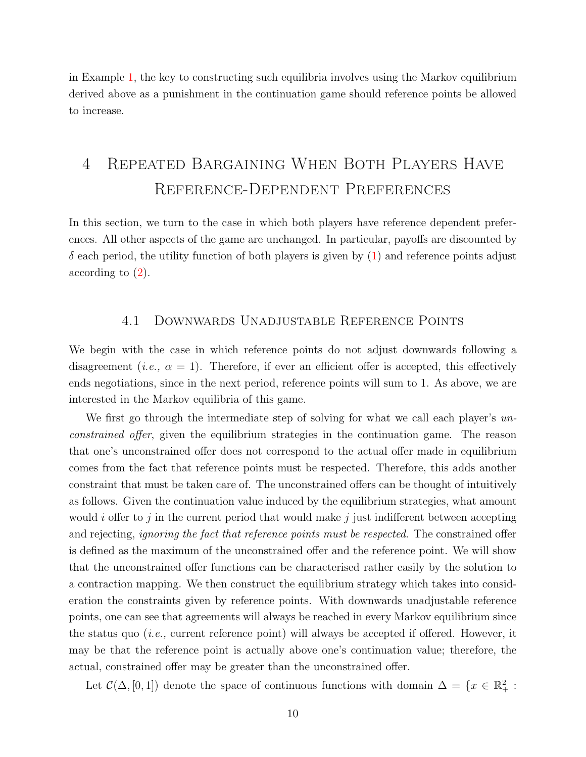in Example [1,](#page-6-1) the key to constructing such equilibria involves using the Markov equilibrium derived above as a punishment in the continuation game should reference points be allowed to increase.

## <span id="page-9-0"></span>4 Repeated Bargaining When Both Players Have Reference-Dependent Preferences

In this section, we turn to the case in which both players have reference dependent preferences. All other aspects of the game are unchanged. In particular, payoffs are discounted by  $\delta$  each period, the utility function of both players is given by [\(1\)](#page-3-0) and reference points adjust according to [\(2\)](#page-4-3).

#### 4.1 Downwards Unadjustable Reference Points

We begin with the case in which reference points do not adjust downwards following a disagreement (*i.e.*,  $\alpha = 1$ ). Therefore, if ever an efficient offer is accepted, this effectively ends negotiations, since in the next period, reference points will sum to 1. As above, we are interested in the Markov equilibria of this game.

We first go through the intermediate step of solving for what we call each player's unconstrained offer, given the equilibrium strategies in the continuation game. The reason that one's unconstrained offer does not correspond to the actual offer made in equilibrium comes from the fact that reference points must be respected. Therefore, this adds another constraint that must be taken care of. The unconstrained offers can be thought of intuitively as follows. Given the continuation value induced by the equilibrium strategies, what amount would i offer to j in the current period that would make j just indifferent between accepting and rejecting, *ignoring the fact that reference points must be respected*. The constrained offer is defined as the maximum of the unconstrained offer and the reference point. We will show that the unconstrained offer functions can be characterised rather easily by the solution to a contraction mapping. We then construct the equilibrium strategy which takes into consideration the constraints given by reference points. With downwards unadjustable reference points, one can see that agreements will always be reached in every Markov equilibrium since the status quo *(i.e.,* current reference point) will always be accepted if offered. However, it may be that the reference point is actually above one's continuation value; therefore, the actual, constrained offer may be greater than the unconstrained offer.

Let  $\mathcal{C}(\Delta, [0,1])$  denote the space of continuous functions with domain  $\Delta = \{x \in \mathbb{R}^2_+ :$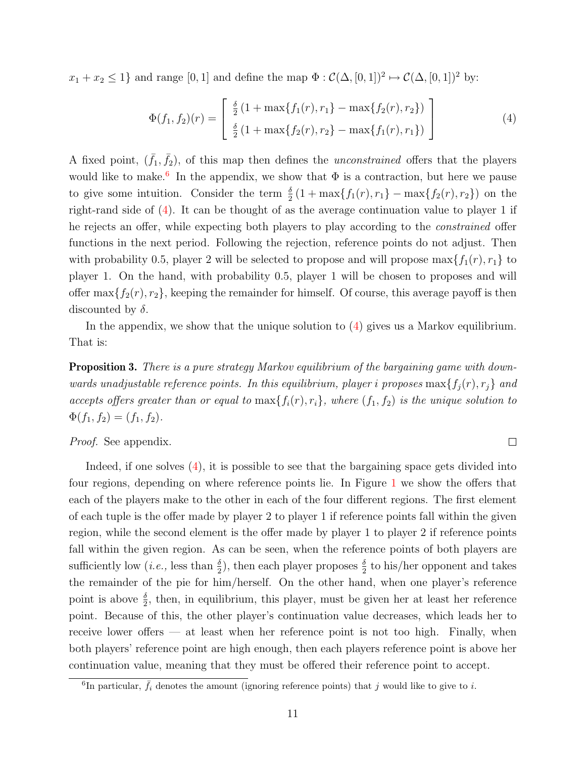$x_1 + x_2 \leq 1$  and range [0, 1] and define the map  $\Phi : \mathcal{C}(\Delta, [0, 1])^2 \mapsto \mathcal{C}(\Delta, [0, 1])^2$  by:

<span id="page-10-1"></span>
$$
\Phi(f_1, f_2)(r) = \begin{bmatrix} \frac{\delta}{2} (1 + \max\{f_1(r), r_1\} - \max\{f_2(r), r_2\}) \\ \frac{\delta}{2} (1 + \max\{f_2(r), r_2\} - \max\{f_1(r), r_1\}) \end{bmatrix}
$$
(4)

A fixed point,  $(\bar{f}_1, \bar{f}_2)$ , of this map then defines the *unconstrained* offers that the players would like to make.<sup>[6](#page-10-0)</sup> In the appendix, we show that  $\Phi$  is a contraction, but here we pause to give some intuition. Consider the term  $\frac{\delta}{2}(1 + \max\{f_1(r), r_1\} - \max\{f_2(r), r_2\})$  on the right-rand side of  $(4)$ . It can be thought of as the average continuation value to player 1 if he rejects an offer, while expecting both players to play according to the constrained offer functions in the next period. Following the rejection, reference points do not adjust. Then with probability 0.5, player 2 will be selected to propose and will propose  $\max\{f_1(r), r_1\}$  to player 1. On the hand, with probability 0.5, player 1 will be chosen to proposes and will offer max ${f_2(r), r_2}$ , keeping the remainder for himself. Of course, this average payoff is then discounted by  $\delta$ .

In the appendix, we show that the unique solution to [\(4\)](#page-10-1) gives us a Markov equilibrium. That is:

<span id="page-10-2"></span>**Proposition 3.** There is a pure strategy Markov equilibrium of the bargaining game with downwards unadjustable reference points. In this equilibrium, player i proposes  $\max\{f_j(r), r_j\}$  and accepts offers greater than or equal to  $\max\{f_i(r), r_i\}$ , where  $(f_1, f_2)$  is the unique solution to  $\Phi(f_1, f_2) = (f_1, f_2).$ 

 $\Box$ 

Proof. See appendix.

Indeed, if one solves [\(4\)](#page-10-1), it is possible to see that the bargaining space gets divided into four regions, depending on where reference points lie. In Figure [1](#page-11-0) we show the offers that each of the players make to the other in each of the four different regions. The first element of each tuple is the offer made by player 2 to player 1 if reference points fall within the given region, while the second element is the offer made by player 1 to player 2 if reference points fall within the given region. As can be seen, when the reference points of both players are sufficiently low (*i.e.*, less than  $\frac{\delta}{2}$ ), then each player proposes  $\frac{\delta}{2}$  to his/her opponent and takes the remainder of the pie for him/herself. On the other hand, when one player's reference point is above  $\frac{\delta}{2}$ , then, in equilibrium, this player, must be given her at least her reference point. Because of this, the other player's continuation value decreases, which leads her to receive lower offers — at least when her reference point is not too high. Finally, when both players' reference point are high enough, then each players reference point is above her continuation value, meaning that they must be offered their reference point to accept.

<span id="page-10-0"></span><sup>&</sup>lt;sup>6</sup>In particular,  $\bar{f}_i$  denotes the amount (ignoring reference points) that j would like to give to i.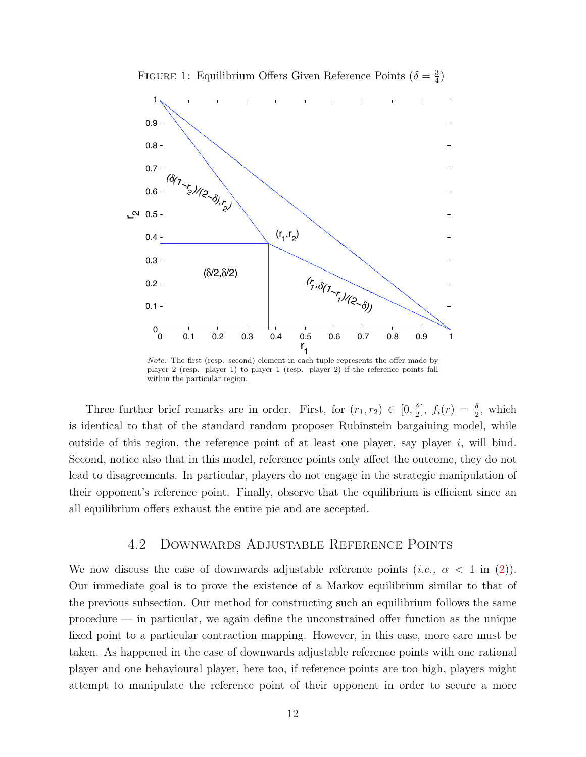<span id="page-11-0"></span>

FIGURE 1: Equilibrium Offers Given Reference Points ( $\delta = \frac{3}{4}$  $\frac{3}{4}$ 

Note: The first (resp. second) element in each tuple represents the offer made by player 2 (resp. player 1) to player 1 (resp. player 2) if the reference points fall within the particular region.

Three further brief remarks are in order. First, for  $(r_1, r_2) \in [0, \frac{\delta}{2}]$  $\frac{\delta}{2}$ ,  $f_i(r) = \frac{\delta}{2}$ , which is identical to that of the standard random proposer Rubinstein bargaining model, while outside of this region, the reference point of at least one player, say player  $i$ , will bind. Second, notice also that in this model, reference points only affect the outcome, they do not lead to disagreements. In particular, players do not engage in the strategic manipulation of their opponent's reference point. Finally, observe that the equilibrium is efficient since an all equilibrium offers exhaust the entire pie and are accepted.

#### 4.2 Downwards Adjustable Reference Points

We now discuss the case of downwards adjustable reference points (*i.e.*,  $\alpha < 1$  in [\(2\)](#page-4-3)). Our immediate goal is to prove the existence of a Markov equilibrium similar to that of the previous subsection. Our method for constructing such an equilibrium follows the same procedure — in particular, we again define the unconstrained offer function as the unique fixed point to a particular contraction mapping. However, in this case, more care must be taken. As happened in the case of downwards adjustable reference points with one rational player and one behavioural player, here too, if reference points are too high, players might attempt to manipulate the reference point of their opponent in order to secure a more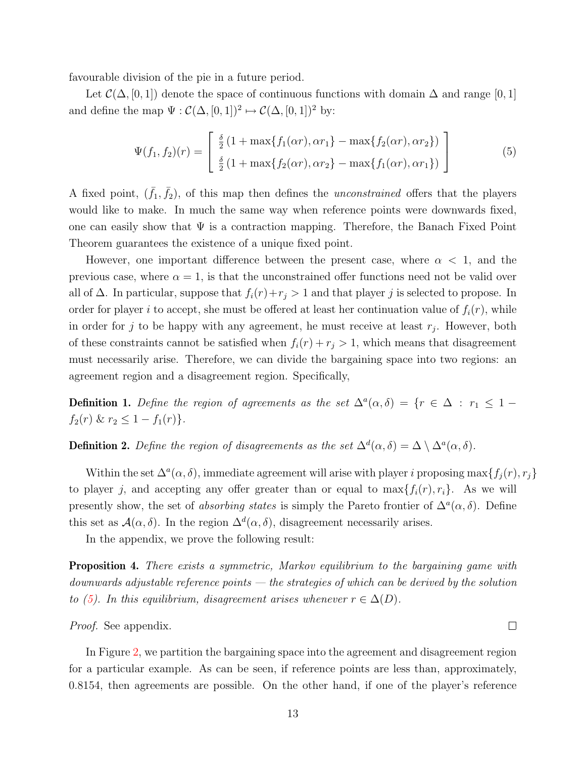favourable division of the pie in a future period.

Let  $\mathcal{C}(\Delta, [0, 1])$  denote the space of continuous functions with domain  $\Delta$  and range [0, 1] and define the map  $\Psi : \mathcal{C}(\Delta, [0, 1])^2 \mapsto \mathcal{C}(\Delta, [0, 1])^2$  by:

<span id="page-12-0"></span>
$$
\Psi(f_1, f_2)(r) = \begin{bmatrix} \frac{\delta}{2} (1 + \max\{f_1(\alpha r), \alpha r_1\} - \max\{f_2(\alpha r), \alpha r_2\}) \\ \frac{\delta}{2} (1 + \max\{f_2(\alpha r), \alpha r_2\} - \max\{f_1(\alpha r), \alpha r_1\}) \end{bmatrix}
$$
(5)

A fixed point,  $(\bar{f}_1, \bar{f}_2)$ , of this map then defines the *unconstrained* offers that the players would like to make. In much the same way when reference points were downwards fixed, one can easily show that  $\Psi$  is a contraction mapping. Therefore, the Banach Fixed Point Theorem guarantees the existence of a unique fixed point.

However, one important difference between the present case, where  $\alpha < 1$ , and the previous case, where  $\alpha = 1$ , is that the unconstrained offer functions need not be valid over all of  $\Delta$ . In particular, suppose that  $f_i(r)+r_j > 1$  and that player j is selected to propose. In order for player i to accept, she must be offered at least her continuation value of  $f_i(r)$ , while in order for j to be happy with any agreement, he must receive at least  $r_j$ . However, both of these constraints cannot be satisfied when  $f_i(r) + r_j > 1$ , which means that disagreement must necessarily arise. Therefore, we can divide the bargaining space into two regions: an agreement region and a disagreement region. Specifically,

**Definition 1.** Define the region of agreements as the set  $\Delta^a(\alpha, \delta) = \{r \in \Delta : r_1 \leq 1 - \delta\}$  $f_2(r) \& r_2 \leq 1 - f_1(r) \}.$ 

**Definition 2.** Define the region of disagreements as the set  $\Delta^d(\alpha, \delta) = \Delta \setminus \Delta^a(\alpha, \delta)$ .

Within the set  $\Delta^a(\alpha, \delta)$ , immediate agreement will arise with player *i* proposing max $\{f_j(r), r_j\}$ to player j, and accepting any offer greater than or equal to  $\max\{f_i(r), r_i\}$ . As we will presently show, the set of *absorbing states* is simply the Pareto frontier of  $\Delta^a(\alpha, \delta)$ . Define this set as  $\mathcal{A}(\alpha,\delta)$ . In the region  $\Delta^d(\alpha,\delta)$ , disagreement necessarily arises.

In the appendix, we prove the following result:

<span id="page-12-1"></span>**Proposition 4.** There exists a symmetric, Markov equilibrium to the bargaining game with  $downwards$  adjustable reference points  $-$  the strategies of which can be derived by the solution to [\(5\)](#page-12-0). In this equilibrium, disagreement arises whenever  $r \in \Delta(D)$ .

 $\Box$ 

Proof. See appendix.

In Figure [2,](#page-13-0) we partition the bargaining space into the agreement and disagreement region for a particular example. As can be seen, if reference points are less than, approximately, 0.8154, then agreements are possible. On the other hand, if one of the player's reference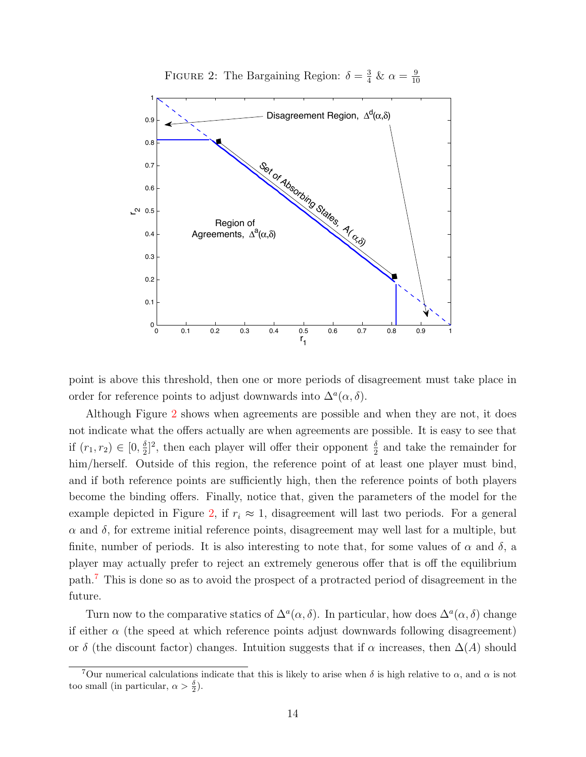<span id="page-13-0"></span>

FIGURE 2: The Bargaining Region:  $\delta = \frac{3}{4} \& \alpha = \frac{9}{10}$ 10

point is above this threshold, then one or more periods of disagreement must take place in order for reference points to adjust downwards into  $\Delta^a(\alpha, \delta)$ .

and if both reference points are sufficiently high, then the reference points of both players Although Figure [2](#page-13-0) shows when agreements are possible and when they are not, it does not indicate what the offers actually are when agreements are possible. It is easy to see that if  $(r_1, r_2) \in [0, \frac{\delta}{2}]$  $\frac{\delta}{2}$ ?, then each player will offer their opponent  $\frac{\delta}{2}$  and take the remainder for him/herself. Outside of this region, the reference point of at least one player must bind, become the binding offers. Finally, notice that, given the parameters of the model for the example depicted in Figure [2,](#page-13-0) if  $r_i \approx 1$ , disagreement will last two periods. For a general  $\alpha$  and  $\delta$ , for extreme initial reference points, disagreement may well last for a multiple, but finite, number of periods. It is also interesting to note that, for some values of  $\alpha$  and  $\delta$ , a player may actually prefer to reject an extremely generous offer that is off the equilibrium path.[7](#page-13-1) This is done so as to avoid the prospect of a protracted period of disagreement in the future.

Turn now to the comparative statics of  $\Delta^a(\alpha, \delta)$ . In particular, how does  $\Delta^a(\alpha, \delta)$  change if either  $\alpha$  (the speed at which reference points adjust downwards following disagreement) or  $\delta$  (the discount factor) changes. Intuition suggests that if  $\alpha$  increases, then  $\Delta(A)$  should

<span id="page-13-1"></span><sup>&</sup>lt;sup>7</sup>Our numerical calculations indicate that this is likely to arise when  $\delta$  is high relative to  $\alpha$ , and  $\alpha$  is not too small (in particular,  $\alpha > \frac{\delta}{2}$ ).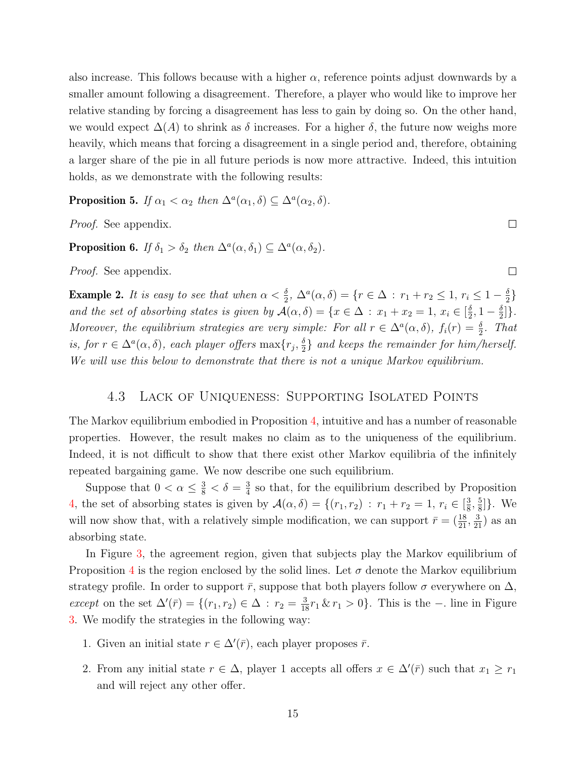also increase. This follows because with a higher  $\alpha$ , reference points adjust downwards by a smaller amount following a disagreement. Therefore, a player who would like to improve her relative standing by forcing a disagreement has less to gain by doing so. On the other hand, we would expect  $\Delta(A)$  to shrink as  $\delta$  increases. For a higher  $\delta$ , the future now weighs more heavily, which means that forcing a disagreement in a single period and, therefore, obtaining a larger share of the pie in all future periods is now more attractive. Indeed, this intuition holds, as we demonstrate with the following results:

 $\Box$ 

 $\Box$ 

<span id="page-14-0"></span>Proposition 5. If  $\alpha_1 < \alpha_2$  then  $\Delta^a(\alpha_1, \delta) \subseteq \Delta^a(\alpha_2, \delta)$ .

*Proof.* See appendix.

<span id="page-14-1"></span>**Proposition 6.** If  $\delta_1 > \delta_2$  then  $\Delta^a(\alpha, \delta_1) \subseteq \Delta^a(\alpha, \delta_2)$ .

Proof. See appendix.

**Example 2.** It is easy to see that when  $\alpha < \frac{\delta}{2}$ ,  $\Delta^a(\alpha, \delta) = \{r \in \Delta : r_1 + r_2 \leq 1, r_i \leq 1 - \frac{\delta}{2} \}$  $\frac{\delta}{2}$ and the set of absorbing states is given by  $\mathcal{A}(\alpha,\delta) = \{x \in \Delta : x_1 + x_2 = 1, x_i \in [\frac{\delta}{2}]$  $\frac{\delta}{2}$ , 1 –  $\frac{\delta}{2}$  $\frac{\delta}{2}]\}$ . Moreover, the equilibrium strategies are very simple: For all  $r \in \Delta^a(\alpha, \delta)$ ,  $f_i(r) = \frac{\delta}{2}$ . That is, for  $r \in \Delta^a(\alpha, \delta)$ , each player offers  $\max\{r_j, \frac{\delta}{2}\}$  $\frac{\delta}{2}$  and keeps the remainder for him/herself. We will use this below to demonstrate that there is not a unique Markov equilibrium.

#### 4.3 Lack of Uniqueness: Supporting Isolated Points

The Markov equilibrium embodied in Proposition [4,](#page-12-1) intuitive and has a number of reasonable properties. However, the result makes no claim as to the uniqueness of the equilibrium. Indeed, it is not difficult to show that there exist other Markov equilibria of the infinitely repeated bargaining game. We now describe one such equilibrium.

Suppose that  $0 < \alpha \leq \frac{3}{8} < \delta = \frac{3}{4}$  $\frac{3}{4}$  so that, for the equilibrium described by Proposition [4,](#page-12-1) the set of absorbing states is given by  $\mathcal{A}(\alpha,\delta) = \{(r_1,r_2) : r_1+r_2=1, r_i \in \left[\frac{3}{8}\right]$  $\frac{3}{8}, \frac{5}{8}$  $\frac{5}{8}$ ] $\}$ . We will now show that, with a relatively simple modification, we can support  $\bar{r} = (\frac{18}{21}, \frac{3}{21})$  as an absorbing state.

In Figure [3,](#page-15-0) the agreement region, given that subjects play the Markov equilibrium of Proposition [4](#page-12-1) is the region enclosed by the solid lines. Let  $\sigma$  denote the Markov equilibrium strategy profile. In order to support  $\bar{r}$ , suppose that both players follow  $\sigma$  everywhere on  $\Delta$ , except on the set  $\Delta'(\bar{r}) = \{(r_1, r_2) \in \Delta : r_2 = \frac{3}{18}r_1 \& r_1 > 0\}$ . This is the  $-$ . line in Figure [3.](#page-15-0) We modify the strategies in the following way:

- 1. Given an initial state  $r \in \Delta'(\bar{r})$ , each player proposes  $\bar{r}$ .
- 2. From any initial state  $r \in \Delta$ , player 1 accepts all offers  $x \in \Delta'(\bar{r})$  such that  $x_1 \geq r_1$ and will reject any other offer.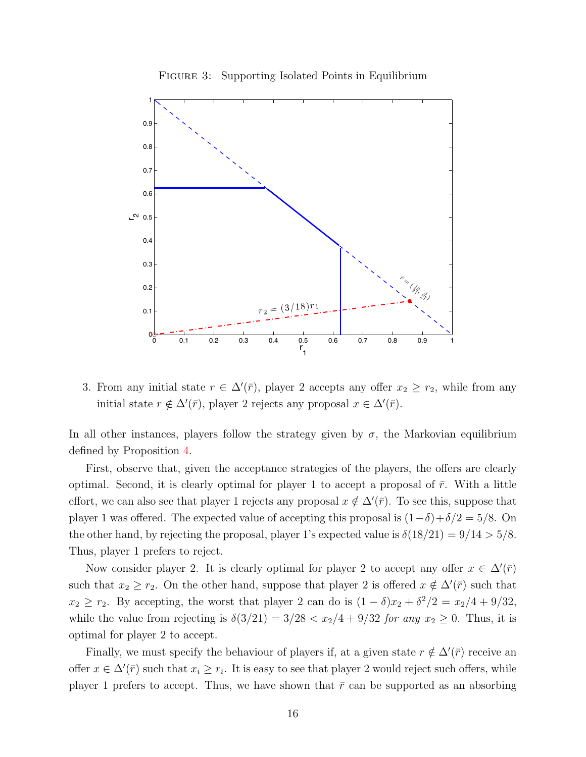<span id="page-15-0"></span>

FIGURE 3: Supporting Isolated Points in Equilibrium

3. From any initial state  $r \in \Delta(\bar{r})$ , player 2 accepts any offer  $x_2 \ge r_2$ , while from any initial state  $r \notin \Delta'(\bar{r})$ , player 2 rejects any proposal  $x \in \Delta'(\bar{r})$ .

In all other instances, players follow the strategy given by  $\sigma$ , the Markovian equilibrium defined by Proposition [4.](#page-12-1)

First, observe that, given the acceptance strategies of the players, the offers are clearly optimal. Second, it is clearly optimal for player 1 to accept a proposal of  $\bar{r}$ . With a little effort, we can also see that player 1 rejects any proposal  $x \notin \Delta'(\bar{r})$ . To see this, suppose that player 1 was offered. The expected value of accepting this proposal is  $(1-\delta)+\delta/2 = 5/8$ . On the other hand, by rejecting the proposal, player 1's expected value is  $\delta(18/21) = 9/14 > 5/8$ . Thus, player 1 prefers to reject.

Now consider player 2. It is clearly optimal for player 2 to accept any offer  $x \in \Delta(\bar{r})$ such that  $x_2 \ge r_2$ . On the other hand, suppose that player 2 is offered  $x \notin \Delta'(\bar{r})$  such that  $x_2 \ge r_2$ . By accepting, the worst that player 2 can do is  $(1 - \delta)x_2 + \delta^2/2 = x_2/4 + 9/32$ , while the value from rejecting is  $\delta(3/21) = 3/28 < x_2/4 + 9/32$  for any  $x_2 \ge 0$ . Thus, it is optimal for player 2 to accept.

Finally, we must specify the behaviour of players if, at a given state  $r \notin \Delta'(\bar{r})$  receive an offer  $x \in \Delta'(\bar{r})$  such that  $x_i \geq r_i$ . It is easy to see that player 2 would reject such offers, while player 1 prefers to accept. Thus, we have shown that  $\bar{r}$  can be supported as an absorbing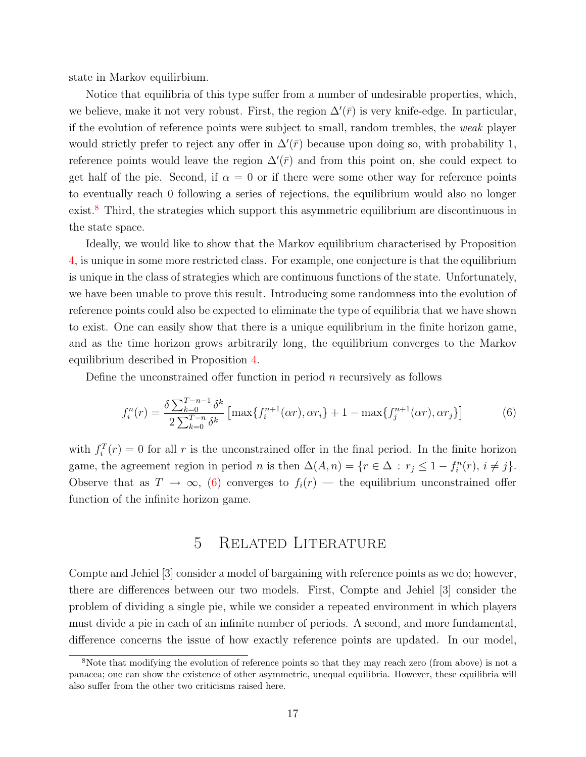state in Markov equilirbium.

Notice that equilibria of this type suffer from a number of undesirable properties, which, we believe, make it not very robust. First, the region  $\Delta'(\bar{r})$  is very knife-edge. In particular, if the evolution of reference points were subject to small, random trembles, the weak player would strictly prefer to reject any offer in  $\Delta'(\bar{r})$  because upon doing so, with probability 1, reference points would leave the region  $\Delta'(\bar{r})$  and from this point on, she could expect to get half of the pie. Second, if  $\alpha = 0$  or if there were some other way for reference points to eventually reach 0 following a series of rejections, the equilibrium would also no longer exist.<sup>[8](#page-16-1)</sup> Third, the strategies which support this asymmetric equilibrium are discontinuous in the state space.

Ideally, we would like to show that the Markov equilibrium characterised by Proposition [4,](#page-12-1) is unique in some more restricted class. For example, one conjecture is that the equilibrium is unique in the class of strategies which are continuous functions of the state. Unfortunately, we have been unable to prove this result. Introducing some randomness into the evolution of reference points could also be expected to eliminate the type of equilibria that we have shown to exist. One can easily show that there is a unique equilibrium in the finite horizon game, and as the time horizon grows arbitrarily long, the equilibrium converges to the Markov equilibrium described in Proposition [4.](#page-12-1)

Define the unconstrained offer function in period  $n$  recursively as follows

<span id="page-16-2"></span>
$$
f_i^n(r) = \frac{\delta \sum_{k=0}^{T-n-1} \delta^k}{2 \sum_{k=0}^{T-n} \delta^k} \left[ \max \{ f_i^{n+1}(\alpha r), \alpha r_i \} + 1 - \max \{ f_j^{n+1}(\alpha r), \alpha r_j \} \right]
$$
(6)

with  $f_i^T(r) = 0$  for all r is the unconstrained offer in the final period. In the finite horizon game, the agreement region in period n is then  $\Delta(A, n) = \{r \in \Delta : r_j \leq 1 - f_i^n(r), i \neq j\}.$ Observe that as  $T \to \infty$ , [\(6\)](#page-16-2) converges to  $f_i(r)$  — the equilibrium unconstrained offer function of the infinite horizon game.

### 5 Related Literature

<span id="page-16-0"></span>Compte and Jehiel [\[3\]](#page-19-1) consider a model of bargaining with reference points as we do; however, there are differences between our two models. First, Compte and Jehiel [\[3\]](#page-19-1) consider the problem of dividing a single pie, while we consider a repeated environment in which players must divide a pie in each of an infinite number of periods. A second, and more fundamental, difference concerns the issue of how exactly reference points are updated. In our model,

<span id="page-16-1"></span><sup>&</sup>lt;sup>8</sup>Note that modifying the evolution of reference points so that they may reach zero (from above) is not a panacea; one can show the existence of other asymmetric, unequal equilibria. However, these equilibria will also suffer from the other two criticisms raised here.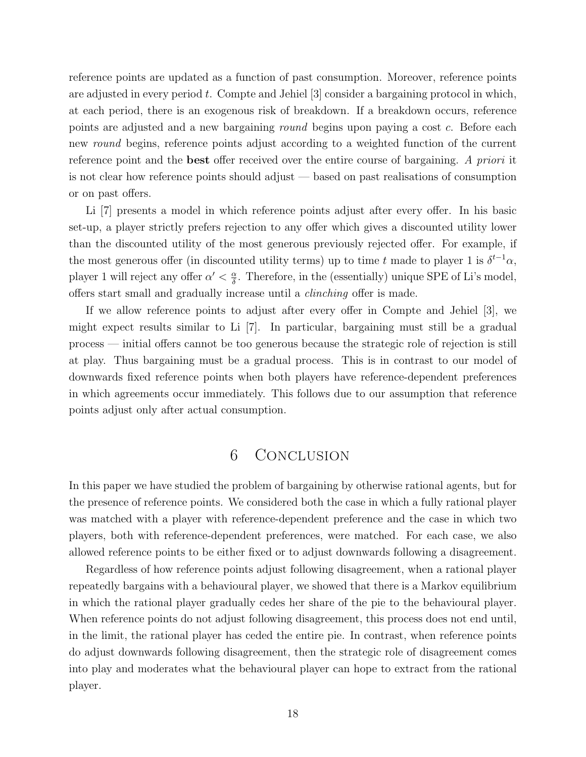reference points are updated as a function of past consumption. Moreover, reference points are adjusted in every period t. Compte and Jehiel [\[3\]](#page-19-1) consider a bargaining protocol in which, at each period, there is an exogenous risk of breakdown. If a breakdown occurs, reference points are adjusted and a new bargaining round begins upon paying a cost c. Before each new round begins, reference points adjust according to a weighted function of the current reference point and the best offer received over the entire course of bargaining. A priori it is not clear how reference points should adjust — based on past realisations of consumption or on past offers.

Li [\[7\]](#page-19-2) presents a model in which reference points adjust after every offer. In his basic set-up, a player strictly prefers rejection to any offer which gives a discounted utility lower than the discounted utility of the most generous previously rejected offer. For example, if the most generous offer (in discounted utility terms) up to time t made to player 1 is  $\delta^{t-1}\alpha$ , player 1 will reject any offer  $\alpha' < \frac{\alpha}{\delta}$  $\frac{\alpha}{\delta}$ . Therefore, in the (essentially) unique SPE of Li's model, offers start small and gradually increase until a clinching offer is made.

If we allow reference points to adjust after every offer in Compte and Jehiel [\[3\]](#page-19-1), we might expect results similar to Li [\[7\]](#page-19-2). In particular, bargaining must still be a gradual process — initial offers cannot be too generous because the strategic role of rejection is still at play. Thus bargaining must be a gradual process. This is in contrast to our model of downwards fixed reference points when both players have reference-dependent preferences in which agreements occur immediately. This follows due to our assumption that reference points adjust only after actual consumption.

### 6 Conclusion

<span id="page-17-0"></span>In this paper we have studied the problem of bargaining by otherwise rational agents, but for the presence of reference points. We considered both the case in which a fully rational player was matched with a player with reference-dependent preference and the case in which two players, both with reference-dependent preferences, were matched. For each case, we also allowed reference points to be either fixed or to adjust downwards following a disagreement.

Regardless of how reference points adjust following disagreement, when a rational player repeatedly bargains with a behavioural player, we showed that there is a Markov equilibrium in which the rational player gradually cedes her share of the pie to the behavioural player. When reference points do not adjust following disagreement, this process does not end until, in the limit, the rational player has ceded the entire pie. In contrast, when reference points do adjust downwards following disagreement, then the strategic role of disagreement comes into play and moderates what the behavioural player can hope to extract from the rational player.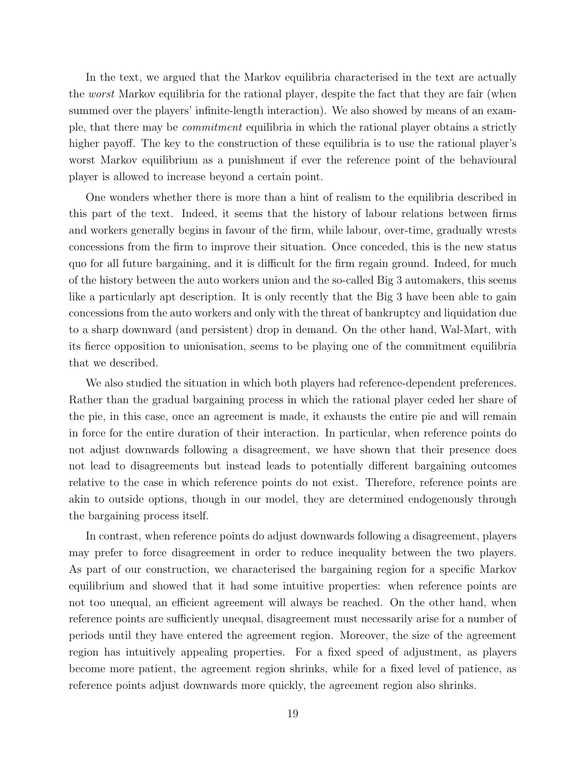In the text, we argued that the Markov equilibria characterised in the text are actually the worst Markov equilibria for the rational player, despite the fact that they are fair (when summed over the players' infinite-length interaction). We also showed by means of an example, that there may be commitment equilibria in which the rational player obtains a strictly higher payoff. The key to the construction of these equilibria is to use the rational player's worst Markov equilibrium as a punishment if ever the reference point of the behavioural player is allowed to increase beyond a certain point.

One wonders whether there is more than a hint of realism to the equilibria described in this part of the text. Indeed, it seems that the history of labour relations between firms and workers generally begins in favour of the firm, while labour, over-time, gradually wrests concessions from the firm to improve their situation. Once conceded, this is the new status quo for all future bargaining, and it is difficult for the firm regain ground. Indeed, for much of the history between the auto workers union and the so-called Big 3 automakers, this seems like a particularly apt description. It is only recently that the Big 3 have been able to gain concessions from the auto workers and only with the threat of bankruptcy and liquidation due to a sharp downward (and persistent) drop in demand. On the other hand, Wal-Mart, with its fierce opposition to unionisation, seems to be playing one of the commitment equilibria that we described.

We also studied the situation in which both players had reference-dependent preferences. Rather than the gradual bargaining process in which the rational player ceded her share of the pie, in this case, once an agreement is made, it exhausts the entire pie and will remain in force for the entire duration of their interaction. In particular, when reference points do not adjust downwards following a disagreement, we have shown that their presence does not lead to disagreements but instead leads to potentially different bargaining outcomes relative to the case in which reference points do not exist. Therefore, reference points are akin to outside options, though in our model, they are determined endogenously through the bargaining process itself.

In contrast, when reference points do adjust downwards following a disagreement, players may prefer to force disagreement in order to reduce inequality between the two players. As part of our construction, we characterised the bargaining region for a specific Markov equilibrium and showed that it had some intuitive properties: when reference points are not too unequal, an efficient agreement will always be reached. On the other hand, when reference points are sufficiently unequal, disagreement must necessarily arise for a number of periods until they have entered the agreement region. Moreover, the size of the agreement region has intuitively appealing properties. For a fixed speed of adjustment, as players become more patient, the agreement region shrinks, while for a fixed level of patience, as reference points adjust downwards more quickly, the agreement region also shrinks.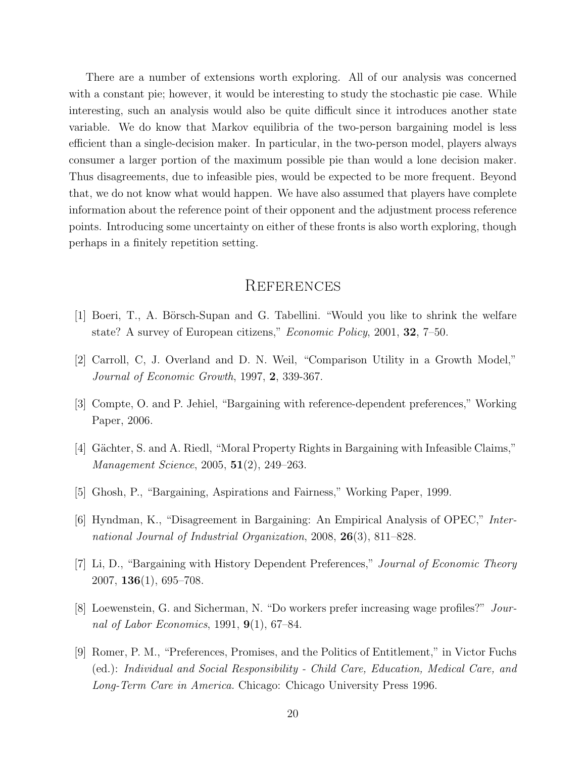There are a number of extensions worth exploring. All of our analysis was concerned with a constant pie; however, it would be interesting to study the stochastic pie case. While interesting, such an analysis would also be quite difficult since it introduces another state variable. We do know that Markov equilibria of the two-person bargaining model is less efficient than a single-decision maker. In particular, in the two-person model, players always consumer a larger portion of the maximum possible pie than would a lone decision maker. Thus disagreements, due to infeasible pies, would be expected to be more frequent. Beyond that, we do not know what would happen. We have also assumed that players have complete information about the reference point of their opponent and the adjustment process reference points. Introducing some uncertainty on either of these fronts is also worth exploring, though perhaps in a finitely repetition setting.

### **REFERENCES**

- <span id="page-19-4"></span>[1] Boeri, T., A. Börsch-Supan and G. Tabellini. "Would you like to shrink the welfare state? A survey of European citizens," *Economic Policy*, 2001, 32, 7–50.
- <span id="page-19-7"></span>[2] Carroll, C, J. Overland and D. N. Weil, "Comparison Utility in a Growth Model," Journal of Economic Growth, 1997, 2, 339-367.
- <span id="page-19-1"></span>[3] Compte, O. and P. Jehiel, "Bargaining with reference-dependent preferences," Working Paper, 2006.
- <span id="page-19-0"></span>[4] Gächter, S. and A. Riedl, "Moral Property Rights in Bargaining with Infeasible Claims," Management Science, 2005, 51(2), 249–263.
- <span id="page-19-5"></span>[5] Ghosh, P., "Bargaining, Aspirations and Fairness," Working Paper, 1999.
- [6] Hyndman, K., "Disagreement in Bargaining: An Empirical Analysis of OPEC," International Journal of Industrial Organization, 2008, 26(3), 811–828.
- <span id="page-19-2"></span>[7] Li, D., "Bargaining with History Dependent Preferences," Journal of Economic Theory  $2007, 136(1), 695-708.$
- <span id="page-19-6"></span>[8] Loewenstein, G. and Sicherman, N. "Do workers prefer increasing wage profiles?" Journal of Labor Economics, 1991,  $9(1)$ , 67–84.
- <span id="page-19-3"></span>[9] Romer, P. M., "Preferences, Promises, and the Politics of Entitlement," in Victor Fuchs (ed.): Individual and Social Responsibility - Child Care, Education, Medical Care, and Long-Term Care in America. Chicago: Chicago University Press 1996.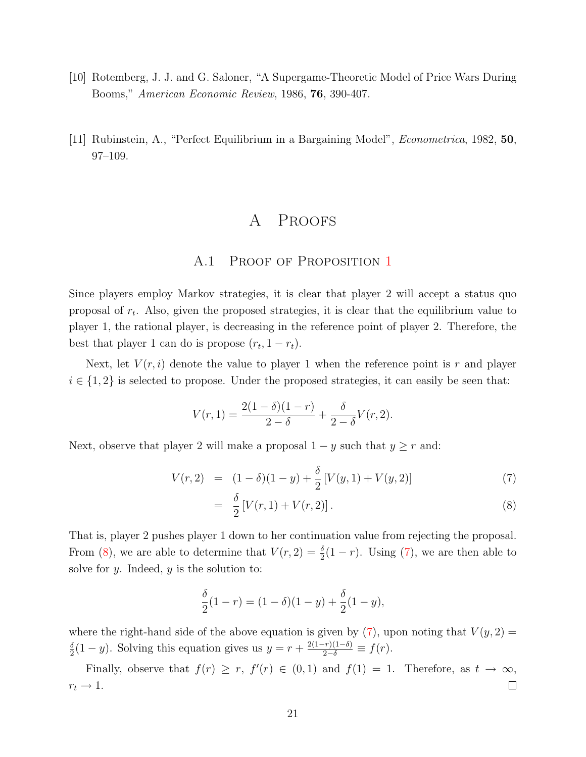- [10] Rotemberg, J. J. and G. Saloner, "A Supergame-Theoretic Model of Price Wars During Booms," American Economic Review, 1986, 76, 390-407.
- <span id="page-20-0"></span>[11] Rubinstein, A., "Perfect Equilibrium in a Bargaining Model", Econometrica, 1982, 50, 97–109.

## A Proofs

#### A.[1](#page-6-0) PROOF OF PROPOSITION 1

Since players employ Markov strategies, it is clear that player 2 will accept a status quo proposal of  $r_t$ . Also, given the proposed strategies, it is clear that the equilibrium value to player 1, the rational player, is decreasing in the reference point of player 2. Therefore, the best that player 1 can do is propose  $(r_t, 1 - r_t)$ .

Next, let  $V(r, i)$  denote the value to player 1 when the reference point is r and player  $i \in \{1,2\}$  is selected to propose. Under the proposed strategies, it can easily be seen that:

$$
V(r, 1) = \frac{2(1 - \delta)(1 - r)}{2 - \delta} + \frac{\delta}{2 - \delta}V(r, 2).
$$

Next, observe that player 2 will make a proposal  $1 - y$  such that  $y \geq r$  and:

<span id="page-20-1"></span>
$$
V(r,2) = (1 - \delta)(1 - y) + \frac{\delta}{2}[V(y,1) + V(y,2)] \tag{7}
$$

$$
= \frac{\delta}{2} \left[ V(r, 1) + V(r, 2) \right]. \tag{8}
$$

That is, player 2 pushes player 1 down to her continuation value from rejecting the proposal. From [\(8\)](#page-20-1), we are able to determine that  $V(r, 2) = \frac{\delta}{2}(1 - r)$ . Using [\(7\)](#page-20-1), we are then able to solve for  $y$ . Indeed,  $y$  is the solution to:

$$
\frac{\delta}{2}(1-r) = (1-\delta)(1-y) + \frac{\delta}{2}(1-y),
$$

where the right-hand side of the above equation is given by [\(7\)](#page-20-1), upon noting that  $V(y, 2) =$ δ  $\frac{\delta}{2}(1-y)$ . Solving this equation gives us  $y = r + \frac{2(1-r)(1-\delta)}{2-\delta} \equiv f(r)$ .

Finally, observe that  $f(r) \ge r$ ,  $f'(r) \in (0,1)$  and  $f(1) = 1$ . Therefore, as  $t \to \infty$ ,  $r_t \rightarrow 1.$  $\Box$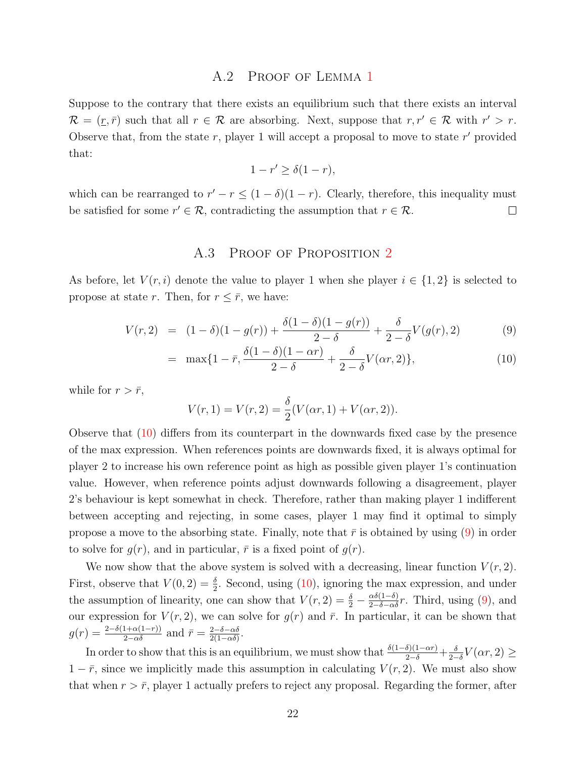#### A.2 Proof of Lemma [1](#page-6-2)

Suppose to the contrary that there exists an equilibrium such that there exists an interval  $\mathcal{R} = (\underline{r}, \overline{r})$  such that all  $r \in \mathcal{R}$  are absorbing. Next, suppose that  $r, r' \in \mathcal{R}$  with  $r' > r$ . Observe that, from the state  $r$ , player 1 will accept a proposal to move to state  $r'$  provided that:

$$
1 - r' \ge \delta(1 - r),
$$

which can be rearranged to  $r' - r \leq (1 - \delta)(1 - r)$ . Clearly, therefore, this inequality must be satisfied for some  $r' \in \mathcal{R}$ , contradicting the assumption that  $r \in \mathcal{R}$ .  $\Box$ 

#### A.3 PROOF OF PROPOSITION [2](#page-8-0)

As before, let  $V(r, i)$  denote the value to player 1 when she player  $i \in \{1, 2\}$  is selected to propose at state r. Then, for  $r \leq \bar{r}$ , we have:

<span id="page-21-0"></span>
$$
V(r,2) = (1 - \delta)(1 - g(r)) + \frac{\delta(1 - \delta)(1 - g(r))}{2 - \delta} + \frac{\delta}{2 - \delta}V(g(r),2)
$$
(9)

$$
= \max\{1-\bar{r}, \frac{\delta(1-\delta)(1-\alpha r)}{2-\delta} + \frac{\delta}{2-\delta}V(\alpha r, 2)\},\tag{10}
$$

while for  $r > \bar{r}$ ,

$$
V(r, 1) = V(r, 2) = \frac{\delta}{2}(V(\alpha r, 1) + V(\alpha r, 2)).
$$

Observe that [\(10\)](#page-21-0) differs from its counterpart in the downwards fixed case by the presence of the max expression. When references points are downwards fixed, it is always optimal for player 2 to increase his own reference point as high as possible given player 1's continuation value. However, when reference points adjust downwards following a disagreement, player 2's behaviour is kept somewhat in check. Therefore, rather than making player 1 indifferent between accepting and rejecting, in some cases, player 1 may find it optimal to simply propose a move to the absorbing state. Finally, note that  $\bar{r}$  is obtained by using [\(9\)](#page-21-0) in order to solve for  $g(r)$ , and in particular,  $\bar{r}$  is a fixed point of  $g(r)$ .

We now show that the above system is solved with a decreasing, linear function  $V(r, 2)$ . First, observe that  $V(0, 2) = \frac{3}{2}$ . Second, using [\(10\)](#page-21-0), ignoring the max expression, and under the assumption of linearity, one can show that  $V(r, 2) = \frac{\delta}{2} - \frac{\alpha \delta(1-\delta)}{2-\delta - \alpha \delta} r$ . Third, using [\(9\)](#page-21-0), and our expression for  $V(r, 2)$ , we can solve for  $g(r)$  and  $\bar{r}$ . In particular, it can be shown that  $g(r) = \frac{2-\delta(1+\alpha(1-r))}{2-\alpha\delta}$  and  $\bar{r} = \frac{2-\delta-\alpha\delta}{2(1-\alpha\delta)}$  $rac{2-\delta-\alpha\delta}{2(1-\alpha\delta)}$ .

In order to show that this is an equilibrium, we must show that  $\frac{\delta(1-\delta)(1-\alpha r)}{2-\delta}+\frac{\delta(1-\delta)(1-\alpha r)}{2-\delta}$  $\frac{\delta}{2-\delta}V(\alpha r,2)\geq$  $1 - \bar{r}$ , since we implicitly made this assumption in calculating  $V(r, 2)$ . We must also show that when  $r > \bar{r}$ , player 1 actually prefers to reject any proposal. Regarding the former, after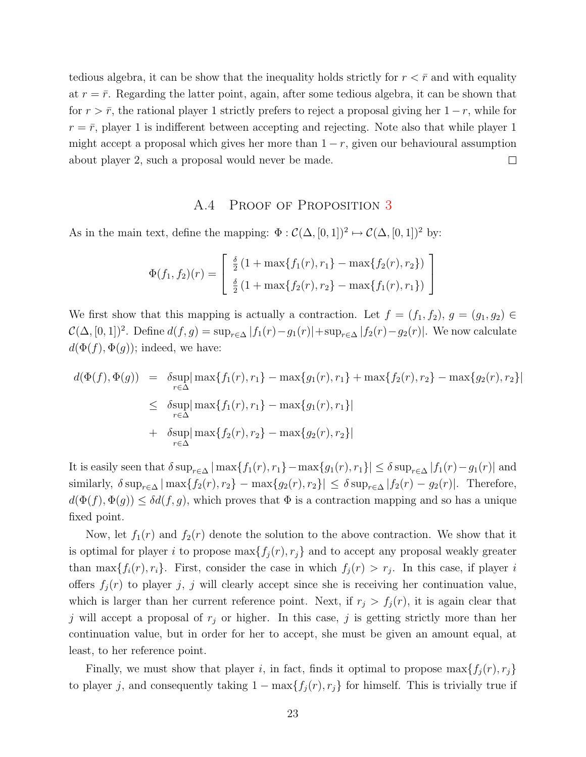tedious algebra, it can be show that the inequality holds strictly for  $r < \bar{r}$  and with equality at  $r = \bar{r}$ . Regarding the latter point, again, after some tedious algebra, it can be shown that for  $r > \bar{r}$ , the rational player 1 strictly prefers to reject a proposal giving her  $1 - r$ , while for  $r = \bar{r}$ , player 1 is indifferent between accepting and rejecting. Note also that while player 1 might accept a proposal which gives her more than  $1 - r$ , given our behavioural assumption about player 2, such a proposal would never be made.  $\Box$ 

#### A.4 PROOF OF PROPOSITION [3](#page-10-2)

As in the main text, define the mapping:  $\Phi : \mathcal{C}(\Delta, [0, 1])^2 \mapsto \mathcal{C}(\Delta, [0, 1])^2$  by:

$$
\Phi(f_1, f_2)(r) = \begin{bmatrix} \frac{\delta}{2} (1 + \max\{f_1(r), r_1\} - \max\{f_2(r), r_2\}) \\ \frac{\delta}{2} (1 + \max\{f_2(r), r_2\} - \max\{f_1(r), r_1\}) \end{bmatrix}
$$

We first show that this mapping is actually a contraction. Let  $f = (f_1, f_2), g = (g_1, g_2) \in$  $\mathcal{C}(\Delta, [0, 1])^2$ . Define  $d(f, g) = \sup_{r \in \Delta} |f_1(r) - g_1(r)| + \sup_{r \in \Delta} |f_2(r) - g_2(r)|$ . We now calculate  $d(\Phi(f), \Phi(g))$ ; indeed, we have:

$$
d(\Phi(f), \Phi(g)) = \delta \sup_{r \in \Delta} \left| \max\{f_1(r), r_1\} - \max\{g_1(r), r_1\} + \max\{f_2(r), r_2\} - \max\{g_2(r), r_2\} \right|
$$
  

$$
\leq \delta \sup_{r \in \Delta} \left| \max\{f_1(r), r_1\} - \max\{g_1(r), r_1\} \right|
$$
  

$$
+ \delta \sup_{r \in \Delta} \left| \max\{f_2(r), r_2\} - \max\{g_2(r), r_2\} \right|
$$

It is easily seen that  $\delta \sup_{r \in \Delta} |\max\{f_1(r), r_1\} - \max\{g_1(r), r_1\}| \leq \delta \sup_{r \in \Delta} |f_1(r) - g_1(r)|$  and similarly,  $\delta \sup_{r \in \Delta} |\max\{f_2(r), r_2\} - \max\{g_2(r), r_2\}| \leq \delta \sup_{r \in \Delta} |f_2(r) - g_2(r)|$ . Therefore,  $d(\Phi(f), \Phi(g)) \leq \delta d(f, g)$ , which proves that  $\Phi$  is a contraction mapping and so has a unique fixed point.

Now, let  $f_1(r)$  and  $f_2(r)$  denote the solution to the above contraction. We show that it is optimal for player i to propose  $\max\{f_j(r), r_j\}$  and to accept any proposal weakly greater than max $\{f_i(r), r_i\}$ . First, consider the case in which  $f_j(r) > r_j$ . In this case, if player i offers  $f_i(r)$  to player j, j will clearly accept since she is receiving her continuation value, which is larger than her current reference point. Next, if  $r_j > f_j(r)$ , it is again clear that j will accept a proposal of  $r_j$  or higher. In this case, j is getting strictly more than her continuation value, but in order for her to accept, she must be given an amount equal, at least, to her reference point.

Finally, we must show that player i, in fact, finds it optimal to propose  $\max\{f_j(r), r_j\}$ to player j, and consequently taking  $1 - \max\{f_j(r), r_j\}$  for himself. This is trivially true if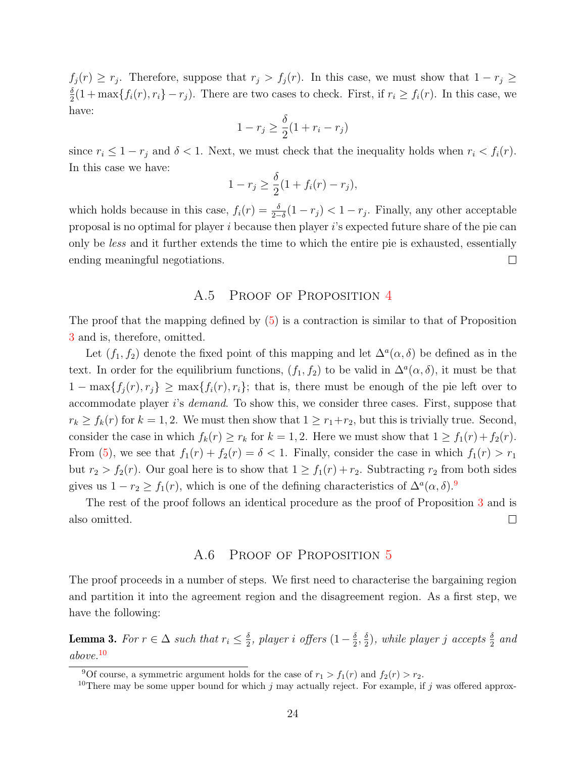$f_j(r) \geq r_j$ . Therefore, suppose that  $r_j > f_j(r)$ . In this case, we must show that  $1 - r_j \geq$ δ  $\frac{\delta}{2}(1 + \max\{f_i(r), r_i\} - r_j)$ . There are two cases to check. First, if  $r_i \ge f_i(r)$ . In this case, we have:

$$
1 - r_j \ge \frac{\delta}{2}(1 + r_i - r_j)
$$

since  $r_i \leq 1 - r_j$  and  $\delta < 1$ . Next, we must check that the inequality holds when  $r_i < f_i(r)$ . In this case we have:

$$
1 - r_j \ge \frac{\delta}{2} (1 + f_i(r) - r_j),
$$

which holds because in this case,  $f_i(r) = \frac{\delta}{2-\delta}(1-r_j) < 1-r_j$ . Finally, any other acceptable proposal is no optimal for player  $i$  because then player  $i$ 's expected future share of the pie can only be less and it further extends the time to which the entire pie is exhausted, essentially ending meaningful negotiations.  $\Box$ 

#### A.5 PROOF OF PROPOSITION [4](#page-12-1)

The proof that the mapping defined by [\(5\)](#page-12-0) is a contraction is similar to that of Proposition [3](#page-10-2) and is, therefore, omitted.

Let  $(f_1, f_2)$  denote the fixed point of this mapping and let  $\Delta^a(\alpha, \delta)$  be defined as in the text. In order for the equilibrium functions,  $(f_1, f_2)$  to be valid in  $\Delta^a(\alpha, \delta)$ , it must be that  $1 - \max\{f_i(r), r_j\} \geq \max\{f_i(r), r_i\};$  that is, there must be enough of the pie left over to accommodate player i's demand. To show this, we consider three cases. First, suppose that  $r_k \ge f_k(r)$  for  $k = 1, 2$ . We must then show that  $1 \ge r_1+r_2$ , but this is trivially true. Second, consider the case in which  $f_k(r) \ge r_k$  for  $k = 1, 2$ . Here we must show that  $1 \ge f_1(r) + f_2(r)$ . From [\(5\)](#page-12-0), we see that  $f_1(r) + f_2(r) = \delta < 1$ . Finally, consider the case in which  $f_1(r) > r_1$ but  $r_2 > f_2(r)$ . Our goal here is to show that  $1 \ge f_1(r) + r_2$ . Subtracting  $r_2$  from both sides gives us  $1 - r_2 \ge f_1(r)$ , which is one of the defining characteristics of  $\Delta^a(\alpha, \delta)$ .<sup>[9](#page-23-0)</sup>

The rest of the proof follows an identical procedure as the proof of Proposition [3](#page-10-2) and is also omitted.  $\Box$ 

#### A.6 PROOF OF PROPOSITION [5](#page-14-0)

The proof proceeds in a number of steps. We first need to characterise the bargaining region and partition it into the agreement region and the disagreement region. As a first step, we have the following:

<span id="page-23-2"></span>**Lemma 3.** For  $r \in \Delta$  such that  $r_i \leq \frac{\delta}{2}$  $\frac{\delta}{2}$ , player i offers  $(1-\frac{\delta}{2})$  $\frac{\delta}{2}, \frac{\delta}{2}$  $\frac{\delta}{2}$ ), while player j accepts  $\frac{\delta}{2}$  and above.[10](#page-23-1)

<span id="page-23-0"></span><sup>&</sup>lt;sup>9</sup>Of course, a symmetric argument holds for the case of  $r_1 > f_1(r)$  and  $f_2(r) > r_2$ .

<span id="page-23-1"></span><sup>&</sup>lt;sup>10</sup>There may be some upper bound for which j may actually reject. For example, if j was offered approx-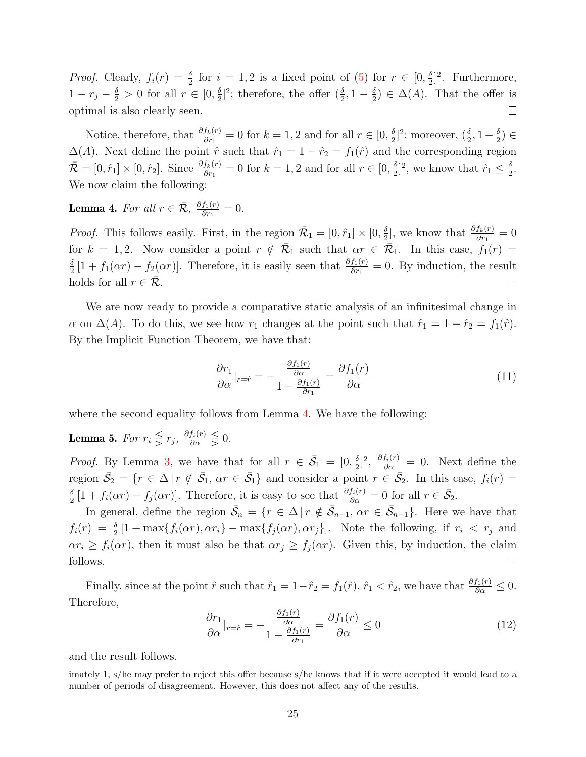*Proof.* Clearly,  $f_i(r) = \frac{\delta}{2}$  for  $i = 1, 2$  is a fixed point of [\(5\)](#page-12-0) for  $r \in [0, \frac{\delta}{2}]$  $\frac{\delta}{2}$ <sup>2</sup>. Furthermore,  $1-r_j-\frac{\delta}{2}>0$  for all  $r\in[0,\frac{\delta}{2}]$  $\frac{\delta}{2}$ ]<sup>2</sup>; therefore, the offer  $(\frac{\delta}{2}, 1 - \frac{\delta}{2})$  $\frac{\delta}{2}$ )  $\in \Delta(A)$ . That the offer is optimal is also clearly seen.  $\Box$ 

Notice, therefore, that  $\frac{\partial f_k(r)}{\partial r_1} = 0$  for  $k = 1, 2$  and for all  $r \in [0, \frac{\delta}{2}]$  $\frac{\delta}{2}]^2$ ; moreover,  $(\frac{\delta}{2}, 1 - \frac{\delta}{2})$  $\frac{\delta}{2}) \in$  $\Delta(A)$ . Next define the point  $\hat{r}$  such that  $\hat{r}_1 = 1 - \hat{r}_2 = f_1(\hat{r})$  and the corresponding region  $\bar{\mathcal{R}} = [0, \hat{r}_1] \times [0, \hat{r}_2]$ . Since  $\frac{\partial f_k(r)}{\partial r_1} = 0$  for  $k = 1, 2$  and for all  $r \in [0, \frac{\delta}{2}]$  $\frac{\delta}{2}$ ]<sup>2</sup>, we know that  $\hat{r}_1 \leq \frac{\delta}{2}$  $\frac{\delta}{2}$ . We now claim the following:

<span id="page-24-0"></span>**Lemma 4.** For all  $r \in \overline{\mathcal{R}}$ ,  $\frac{\partial f_1(r)}{\partial r_1}$  $\frac{f_1(r)}{\partial r_1}=0.$ 

*Proof.* This follows easily. First, in the region  $\bar{\mathcal{R}}_1 = [0, \hat{r}_1] \times [0, \frac{\delta}{2}]$  $\frac{\delta}{2}$ , we know that  $\frac{\partial f_k(r)}{\partial r_1} = 0$ for  $k = 1, 2$ . Now consider a point  $r \notin \overline{\mathcal{R}}_1$  such that  $\alpha r \in \overline{\mathcal{R}}_1$ . In this case,  $f_1(r) =$  $\frac{\delta}{2}[1+f_1(\alpha r)-f_2(\alpha r)]$ . Therefore, it is easily seen that  $\frac{\partial f_1(r)}{\partial r_1}=0$ . By induction, the result δ holds for all  $r \in \mathcal{R}$ .  $\Box$ 

We are now ready to provide a comparative static analysis of an infinitesimal change in  $\alpha$  on  $\Delta(A)$ . To do this, we see how  $r_1$  changes at the point such that  $\hat{r}_1 = 1 - \hat{r}_2 = f_1(\hat{r})$ . By the Implicit Function Theorem, we have that:

$$
\frac{\partial r_1}{\partial \alpha}|_{r=\hat{r}} = -\frac{\frac{\partial f_1(r)}{\partial \alpha}}{1 - \frac{\partial f_1(r)}{\partial r_1}} = \frac{\partial f_1(r)}{\partial \alpha} \tag{11}
$$

where the second equality follows from Lemma [4.](#page-24-0) We have the following:

**Lemma 5.** For  $r_i \leq r_j$ ,  $\frac{\partial f_i(r)}{\partial \alpha} \leq 0$ .

*Proof.* By Lemma [3,](#page-23-2) we have that for all  $r \in \overline{S}_1 = [0, \frac{\delta}{2}]$  $\frac{\delta}{2}$ ]<sup>2</sup>,  $\frac{\partial f_i(r)}{\partial \alpha} = 0$ . Next define the region  $\bar{S}_2 = \{r \in \Delta \mid r \notin \bar{S}_1, \alpha r \in \bar{S}_1\}$  and consider a point  $r \in \bar{S}_2$ . In this case,  $f_i(r) =$ δ  $\frac{\delta}{2}[1+f_i(\alpha r)-f_j(\alpha r)].$  Therefore, it is easy to see that  $\frac{\partial f_i(r)}{\partial \alpha}=0$  for all  $r \in \overline{S}_2$ .

In general, define the region  $\bar{S}_n = \{r \in \Delta \mid r \notin \bar{S}_{n-1}, \alpha r \in \bar{S}_{n-1}\}.$  Here we have that  $f_i(r) = \frac{\delta}{2} [1 + \max\{f_i(\alpha r), \alpha r_i\} - \max\{f_j(\alpha r), \alpha r_j\}]$ . Note the following, if  $r_i < r_j$  and  $\alpha r_i \ge f_i(\alpha r)$ , then it must also be that  $\alpha r_j \ge f_j(\alpha r)$ . Given this, by induction, the claim follows.  $\Box$ 

Finally, since at the point  $\hat{r}$  such that  $\hat{r}_1 = 1 - \hat{r}_2 = f_1(\hat{r})$ ,  $\hat{r}_1 < \hat{r}_2$ , we have that  $\frac{\partial f_1(r)}{\partial \alpha} \leq 0$ . Therefore,

$$
\frac{\partial r_1}{\partial \alpha}|_{r=\hat{r}} = -\frac{\frac{\partial f_1(r)}{\partial \alpha}}{1 - \frac{\partial f_1(r)}{\partial r_1}} = \frac{\partial f_1(r)}{\partial \alpha} \le 0
$$
\n(12)

and the result follows.

imately 1, s/he may prefer to reject this offer because s/he knows that if it were accepted it would lead to a number of periods of disagreement. However, this does not affect any of the results.